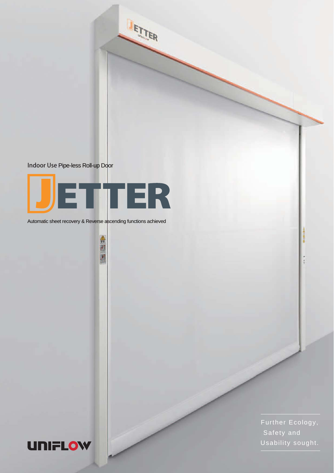

Indoor Use Pipe-less Roll-up Door



Automatic sheet recovery & Reverse ascending functions achieved

全国国



Further Ecology, Safety and Usability sought.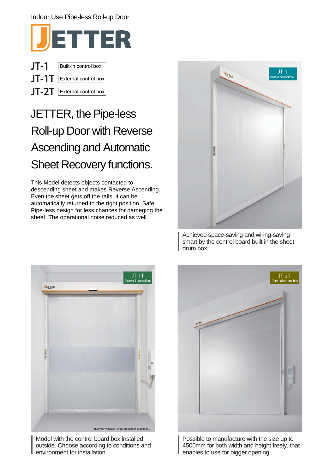# Indoor Use Pipe-less Roll-up Door



| JT-1 | Built-in control box             |  |  |
|------|----------------------------------|--|--|
|      | $JT-1T$   External control box   |  |  |
|      | $JT$ - $2T$ External control box |  |  |

# JETTER, the Pipe-less Roll-up Door with Reverse Ascending and Automatic Sheet Recovery functions.

This Model detects objects contacted to descending sheet and makes Reverse Ascending. Even the sheet gets off the rails, it can be automatically returned to the right position. Safe Pipe-less design for less chances for dameging the sheet. The operational noise reduced as well.



Achieved space-saving and wiring-saving smart by the control board built in the sheet drum box.



Model with the control board box installed outside. Choose according to conditions and environment for installation.



Possible to manufacture with the size up to 4500mm for both width and height freely, that enables to use for bigger opening.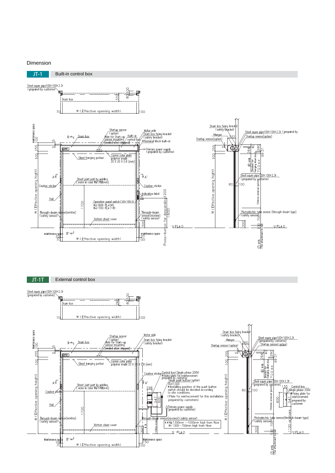### Dimension

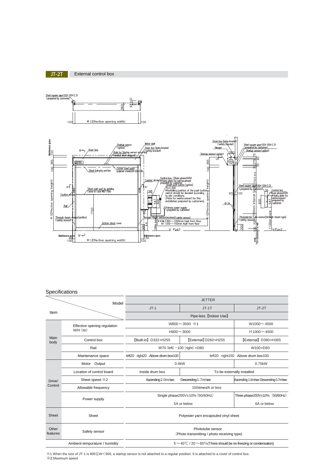





### Specifications

| Model             |                                            | <b>JETTER</b>                                                                       |                                   |                                        |  |  |  |
|-------------------|--------------------------------------------|-------------------------------------------------------------------------------------|-----------------------------------|----------------------------------------|--|--|--|
|                   |                                            | $JT-1$<br>$JT-1T$                                                                   |                                   | $JT-2T$                                |  |  |  |
| Item              |                                            |                                                                                     |                                   |                                        |  |  |  |
| Main<br>body      | Effective opening regulation<br>$W/H$ (mm) | W800 $\sim$ 3500 $*1$                                                               | $W1000 \sim 4500$                 |                                        |  |  |  |
|                   |                                            | $H900 \sim 3000$                                                                    | $H$ 1000 $\sim$ 4500              |                                        |  |  |  |
|                   | Control box                                | [External] D260xH255<br>[Built-in] D332xH255                                        |                                   | [External] D360xH365                   |  |  |  |
|                   | Rail                                       | W70 (left) $\cdot$ 100 (right) $\times$ D80                                         | W100×D93                          |                                        |  |  |  |
|                   | Maintenance space                          | left20 right20 Above drum box100                                                    | left20 right150 Above drum box100 |                                        |  |  |  |
| Drive/<br>Control | Motor Output                               | 0.4kW                                                                               | 0.75kW                            |                                        |  |  |  |
|                   | Location of control board                  | Inside drum box                                                                     | To be externally installed        |                                        |  |  |  |
|                   | Sheet speed *2                             | Ascending 2.0m/sec                                                                  | Descending 1.7m/sec               | Ascending 1.5m/sec Descending 0.7m/sec |  |  |  |
|                   | Allowable frequency                        | 150 times/h or less                                                                 |                                   |                                        |  |  |  |
|                   | Power supply                               | Single phase200V±10% (50/60Hz)                                                      | Three phase200V±10% (50/60Hz)     |                                        |  |  |  |
|                   |                                            | 5A or below                                                                         | 6A or below                       |                                        |  |  |  |
| Sheet             | Sheet                                      | Polyester yarn encapsuled vinyl sheet                                               |                                   |                                        |  |  |  |
| Other<br>features | Safety sensor                              | Phototube sensor<br>(Photo transmitting / photo receiving type)                     |                                   |                                        |  |  |  |
|                   | Ambient tempurature / humidity             | $5 \sim 40^{\circ}$ C / 20 $\sim$ 85% (There should be no freezing or condensation) |                                   |                                        |  |  |  |

※1 When the size of JT-1 is 800≦W<900, a startup sensor is not attached to a regular position. It is attached to a cover of control box. ※2 Maximum speed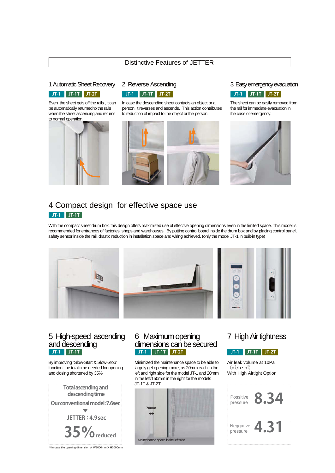### Distinctive Features of JETTER

### 1 Automatic Sheet Recovery 2 Reverse Ascending **Easy emergency evacuation**

### **JT-1 JT-1T JT-2T JT-1 JT-1T JT-2T JT-1 JT-1T JT-2T**

Even the sheet gets off the rails , it can be automatically returned to the rails when the sheet ascending and returns to normal operation.



In case the descending sheet contacts an object or a person, it reverses and ascends. This action contributes to reduction of impact to the object or the person.



The sheet can be easily removed from the rail for immediate evacuation in the case of emergency.



# **JT-1 JT-1T** 4 Compact design for effective space use

With the compact sheet drum box, this design offers maximized use of effective opening dimensions even in the limited space. This model is recommended for entrances of factories, shops and warehouses. By putting control board inside the drum box and by placing control panel, safety sensor inside the rail, drastic reduction in installation space and wiring achieved. (only the model JT-1 in built-in type)



# **JT-1 JT-1T** 5 High-speed ascending and descending

By improving "Slow-Start & Slow-Stop" function, the total time needed for opening and closing shortened by 35%.



**JT-1 JT-1T JT-2T JT-1 JT-1T JT-2T** 6 Maximum opening dimensions can be secured

Minimized the maintenance space to be able to largely get opening more, as 20mm each in the left and right side for the model JT-1 and 20mm in the left/150mm in the right for the models JT-1T & JT-2T.

| 20 <sub>mm</sub><br>$\leftrightarrow$ |  |
|---------------------------------------|--|
| Maintenance space in the left side    |  |

# 7 High Air tightness

Air leak volume at 10Pa  $(m^3/h \cdot m^2)$ With High Airtight Option



※In case the opening dimension of W3000mm X H3000mm